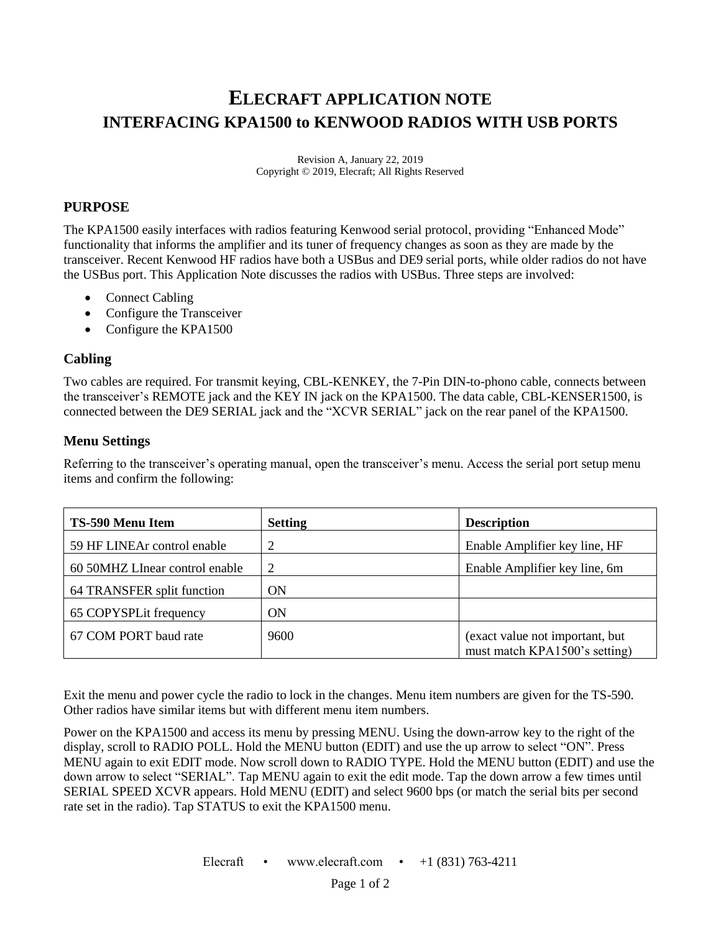# **ELECRAFT APPLICATION NOTE INTERFACING KPA1500 to KENWOOD RADIOS WITH USB PORTS**

Revision A, January 22, 2019 Copyright © 2019, Elecraft; All Rights Reserved

## **PURPOSE**

The KPA1500 easily interfaces with radios featuring Kenwood serial protocol, providing "Enhanced Mode" functionality that informs the amplifier and its tuner of frequency changes as soon as they are made by the transceiver. Recent Kenwood HF radios have both a USBus and DE9 serial ports, while older radios do not have the USBus port. This Application Note discusses the radios with USBus. Three steps are involved:

- Connect Cabling
- Configure the Transceiver
- Configure the KPA1500

#### **Cabling**

Two cables are required. For transmit keying, CBL-KENKEY, the 7-Pin DIN-to-phono cable, connects between the transceiver's REMOTE jack and the KEY IN jack on the KPA1500. The data cable, CBL-KENSER1500, is connected between the DE9 SERIAL jack and the "XCVR SERIAL" jack on the rear panel of the KPA1500.

## **Menu Settings**

Referring to the transceiver's operating manual, open the transceiver's menu. Access the serial port setup menu items and confirm the following:

| TS-590 Menu Item               | <b>Setting</b> | <b>Description</b>                                               |
|--------------------------------|----------------|------------------------------------------------------------------|
| 59 HF LINEAr control enable    | 2              | Enable Amplifier key line, HF                                    |
| 60 50MHZ LInear control enable | 2              | Enable Amplifier key line, 6m                                    |
| 64 TRANSFER split function     | <b>ON</b>      |                                                                  |
| 65 COPYSPLit frequency         | <b>ON</b>      |                                                                  |
| 67 COM PORT baud rate          | 9600           | (exact value not important, but<br>must match KPA1500's setting) |

Exit the menu and power cycle the radio to lock in the changes. Menu item numbers are given for the TS-590. Other radios have similar items but with different menu item numbers.

Power on the KPA1500 and access its menu by pressing MENU. Using the down-arrow key to the right of the display, scroll to RADIO POLL. Hold the MENU button (EDIT) and use the up arrow to select "ON". Press MENU again to exit EDIT mode. Now scroll down to RADIO TYPE. Hold the MENU button (EDIT) and use the down arrow to select "SERIAL". Tap MENU again to exit the edit mode. Tap the down arrow a few times until SERIAL SPEED XCVR appears. Hold MENU (EDIT) and select 9600 bps (or match the serial bits per second rate set in the radio). Tap STATUS to exit the KPA1500 menu.